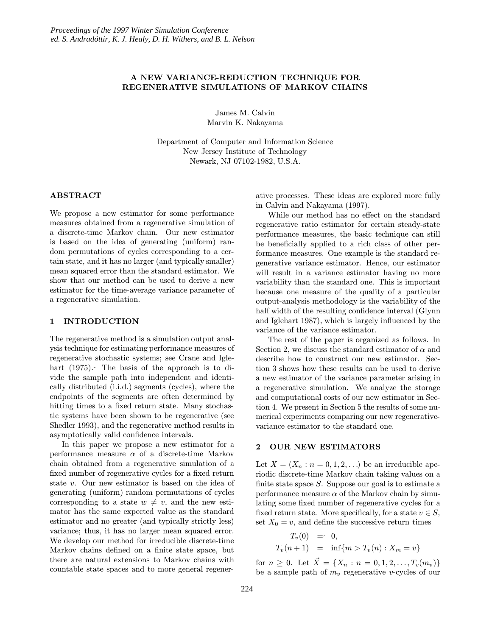# A NEW VARIANCE-REDUCTION TECHNIQUE FOR REGENERATIVE SIMULATIONS OF MARKOV CHAINS

James M. Calvin Marvin K. Nakayama

Department of Computer and Information Science New Jersey Institute of Technology Newark, NJ 07102-1982, U.S.A.

# ABSTRACT

We propose a new estimator for some performance measures obtained from a regenerative simulation of a discrete-time Markov chain. Our new estimator is based on the idea of generating (uniform) random permutations of cycles corresponding to a certain state, and it has no larger (and typically smaller) mean squared error than the standard estimator. We show that our method can be used to derive a new estimator for the time-average variance parameter of a regenerative simulation.

### 1 INTRODUCTION

The regenerative method is a simulation output analysis technique for estimating performance measures of regenerative stochastic systems; see Crane and Iglehart (1975). The basis of the approach is to divide the sample path into independent and identically distributed (i.i.d.) segments (cycles), where the endpoints of the segments are often determined by hitting times to a fixed return state. Many stochastic systems have been shown to be regenerative (see Shedler 1993), and the regenerative method results in asymptotically valid confidence intervals.

In this paper we propose a new estimator for a performance measure  $\alpha$  of a discrete-time Markov chain obtained from a regenerative simulation of a fixed number of regenerative cycles for a fixed return state v. Our new estimator is based on the idea of generating (uniform) random permutations of cycles corresponding to a state  $w \neq v$ , and the new estimator has the same expected value as the standard estimator and no greater (and typically strictly less) variance; thus, it has no larger mean squared error. We develop our method for irreducible discrete-time Markov chains defined on a finite state space, but there are natural extensions to Markov chains with countable state spaces and to more general regenerative processes. These ideas are explored more fully in Calvin and Nakayama (1997).

While our method has no effect on the standard regenerative ratio estimator for certain steady-state performance measures, the basic technique can still be beneficially applied to a rich class of other performance measures. One example is the standard regenerative variance estimator. Hence, our estimator will result in a variance estimator having no more variability than the standard one. This is important because one measure of the quality of a particular output-analysis methodology is the variability of the half width of the resulting confidence interval (Glynn and Iglehart 1987), which is largely influenced by the variance of the variance estimator.

The rest of the paper is organized as follows. In Section 2, we discuss the standard estimator of  $\alpha$  and describe how to construct our new estimator. Section 3 shows how these results can be used to derive a new estimator of the variance parameter arising in a regenerative simulation. We analyze the storage and computational costs of our new estimator in Section 4. We present in Section 5 the results of some numerical experiments comparing our new regenerativevariance estimator to the standard one.

#### 2 OUR NEW ESTIMATORS

Let  $X = (X_n : n = 0, 1, 2, ...)$  be an irreducible aperiodic discrete-time Markov chain taking values on a finite state space  $S$ . Suppose our goal is to estimate a performance measure  $\alpha$  of the Markov chain by simulating some fixed number of regenerative cycles for a fixed return state. More specifically, for a state  $v \in S$ , set  $X_0 = v$ , and define the successive return times

$$
T_v(0) = 0,
$$
  

$$
T_v(n+1) = \inf\{m > T_v(n) : X_m = v\}
$$

for  $n \geq 0$ . Let  $\vec{X} = \{X_n : n = 0, 1, 2, \ldots, T_v(m_v)\}\$ be a sample path of  $m_v$  regenerative v-cycles of our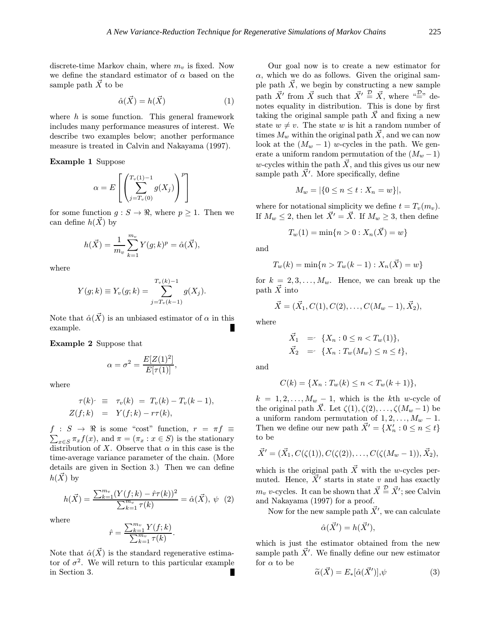discrete-time Markov chain, where  $m_v$  is fixed. Now we define the standard estimator of  $\alpha$  based on the sample path  $\vec{X}$  to be

$$
\hat{\alpha}(\vec{X}) = h(\vec{X})\tag{1}
$$

where  $h$  is some function. This general framework includes many performance measures of interest. We describe two examples below; another performance measure is treated in Calvin and Nakayama (1997).

Example 1 Suppose

$$
\alpha = E\left[ \left( \sum_{j=T_v(0)}^{T_v(1)-1} g(X_j) \right)^p \right]
$$

for some function  $g : S \to \mathbb{R}$ , where  $p \geq 1$ . Then we can define  $h(X)$  by

$$
h(\vec{X}) = \frac{1}{m_v} \sum_{k=1}^{m_v} Y(g; k)^p = \hat{\alpha}(\vec{X}),
$$

where

$$
Y(g; k) \equiv Y_v(g; k) = \sum_{j=T_v(k-1)}^{T_v(k)-1} g(X_j).
$$

Note that  $\hat{\alpha}(\vec{X})$  is an unbiased estimator of  $\alpha$  in this example.

Example 2 Suppose that

$$
\alpha = \sigma^2 = \frac{E[Z(1)^2]}{E[\tau(1)]},
$$

where

$$
\tau(k)^{\scriptscriptstyle{-}} \equiv \tau_v(k) = T_v(k) - T_v(k-1),
$$
  

$$
Z(f;k) = Y(f;k) - r\tau(k),
$$

 $\sum_{x \in S} \pi_x f(x)$ , and  $\pi = (\pi_x : x \in S)$  is the stationary  $f : S \rightarrow \Re$  is some "cost" function,  $r = \pi f \equiv$ distribution of X. Observe that  $\alpha$  in this case is the time-average variance parameter of the chain. (More details are given in Section 3.) Then we can define  $h(\vec{X})$  by

$$
h(\vec{X}) = \frac{\sum_{k=1}^{m_v} (Y(f; k) - \hat{r}\tau(k))^2}{\sum_{k=1}^{m_v} \tau(k)} = \hat{\alpha}(\vec{X}), \psi \quad (2)
$$

where

$$
\hat{r} = \frac{\sum_{k=1}^{m_v} Y(f; k)}{\sum_{k=1}^{m_v} \tau(k)}.
$$

Note that  $\hat{\alpha}(\vec{X})$  is the standard regenerative estimator of  $\sigma^2$ . We will return to this particular example in Section 3.

Our goal now is to create a new estimator for  $\alpha$ , which we do as follows. Given the original sample path  $\vec{X}$ , we begin by constructing a new sample path  $\vec{X}'$  from  $\vec{X}$  such that  $\vec{X}' \stackrel{\mathcal{D}}{=} \vec{X}$ , where " $\stackrel{\mathcal{D}}{=}$ " denotes equality in distribution. This is done by first taking the original sample path  $\vec{X}$  and fixing a new state  $w \neq v$ . The state w is hit a random number of times  $M_w$  within the original path  $\vec{X}$ , and we can now look at the  $(M_w - 1)$  w-cycles in the path. We generate a uniform random permutation of the  $(M_w - 1)$ w-cycles within the path  $\vec{X}$ , and this gives us our new sample path  $\vec{X}'$ . More specifically, define

$$
M_w = |\{0 \le n \le t : X_n = w\}|,
$$

where for notational simplicity we define  $t = T_v(m_v)$ . If  $M_w \leq 2$ , then let  $\vec{X}' = \vec{X}$ . If  $M_w \geq 3$ , then define

$$
T_w(1) = \min\{n > 0 : X_n(\vec{X}) = w\}
$$

and

$$
T_w(k) = \min\{n > T_w(k-1) : X_n(\vec{X}) = w\}
$$

for  $k = 2, 3, \ldots, M_w$ . Hence, we can break up the path  $\overline{X}$  into

$$
\vec{X} = (\vec{X}_1, C(1), C(2), \ldots, C(M_w - 1), \vec{X}_2),
$$

where

$$
\begin{aligned}\n\vec{X}_1 &= \{ X_n : 0 \le n < T_w(1) \}, \\
\vec{X}_2 &= \{ X_n : T_w(M_w) \le n \le t \},\n\end{aligned}
$$

and

$$
C(k) = \{X_n : T_w(k) \le n < T_w(k+1)\},\
$$

 $k = 1, 2, \ldots, M_w - 1$ , which is the kth w-cycle of the original path X. Let  $\zeta(1), \zeta(2), \ldots, \zeta(M_w-1)$  be a uniform random permutation of  $1, 2, \ldots, M_w - 1$ . Then we define our new path  $\vec{X}' = \{X'_n : 0 \leq n \leq t\}$ to be

$$
\vec{X}' = (\vec{X}_1, C(\zeta(1)), C(\zeta(2)), \ldots, C(\zeta(M_w-1)), \vec{X}_2),
$$

which is the original path  $\vec{X}$  with the w-cycles permuted. Hence,  $\vec{X}'$  starts in state v and has exactly  $m_v$  v-cycles. It can be shown that  $\vec{X} \stackrel{\mathcal{D}}{=} \vec{X}'$ ; see Calvin and Nakayama (1997) for a proof.

Now for the new sample path  $\vec{X}',$  we can calculate

$$
\hat{\alpha}(\vec{X}') = h(\vec{X}'),
$$

which is just the estimator obtained from the new sample path  $\vec{X}'$ . We finally define our new estimator for  $\alpha$  to be

$$
\widetilde{\alpha}(\vec{X}) = E_*[\hat{\alpha}(\vec{X}')] , \psi \tag{3}
$$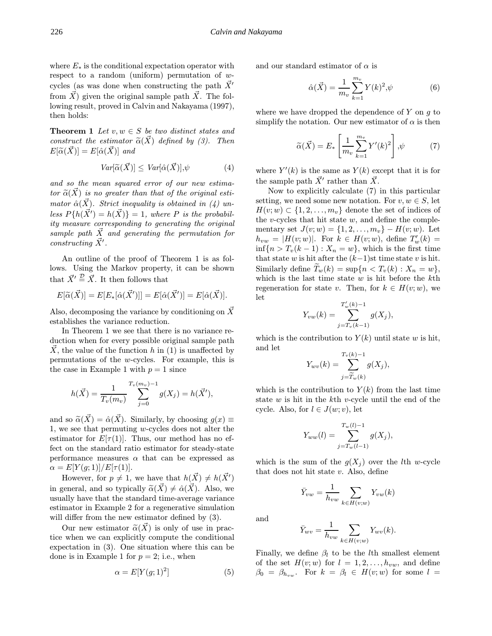where  $E_*$  is the conditional expectation operator with respect to a random (uniform) permutation of wcycles (as was done when constructing the path  $\vec{X}$ ' from  $\vec{X}$  given the original sample path  $\vec{X}$ . The following result, proved in Calvin and Nakayama (1997), then holds:

**Theorem 1** Let  $v, w \in S$  be two distinct states and construct the estimator  $\tilde{\alpha}(\vec{X})$  defined by (3). Then  $E[\widetilde{\alpha}(\vec{X})] = E[\hat{\alpha}(\vec{X})]$  and

$$
Var[\widetilde{\alpha}(\vec{X})] \le Var[\widehat{\alpha}(\vec{X})], \psi \tag{4}
$$

and so the mean squared error of our new estimator  $\tilde{\alpha}(X)$  is no greater than that of the original estimator  $\hat{\alpha}(\vec{X})$ . Strict inequality is obtained in (4) unless  $P\{h(\vec{X}')=h(\vec{X})\}=1$ , where P is the probability measure corresponding to generating the original sample path  $\overline{X}$  and generating the permutation for  $constructing \ \vec{X}'$ .

An outline of the proof of Theorem 1 is as follows. Using the Markov property, it can be shown that  $\vec{X}' \stackrel{\mathcal{D}}{=} \vec{X}$ . It then follows that

$$
E[\widetilde{\alpha}(\vec{X})] = E[E_*[\widehat{\alpha}(\vec{X}')] = E[\widehat{\alpha}(\vec{X}')] = E[\widehat{\alpha}(\vec{X})].
$$

Also, decomposing the variance by conditioning on  $\vec{X}$ establishes the variance reduction.

In Theorem 1 we see that there is no variance reduction when for every possible original sample path X, the value of the function h in  $(1)$  is unaffected by permutations of the w-cycles. For example, this is the case in Example 1 with  $p = 1$  since

$$
h(\vec{X}) = \frac{1}{T_v(m_v)} \sum_{j=0}^{T_v(m_v)-1} g(X_j) = h(\vec{X}'),
$$

and so  $\tilde{\alpha}(\vec{X}) = \hat{\alpha}(\vec{X})$ . Similarly, by choosing  $g(x) \equiv$ 1, we see that permuting w-cycles does not alter the estimator for  $E[\tau(1)]$ . Thus, our method has no effect on the standard ratio estimator for steady-state performance measures  $\alpha$  that can be expressed as  $\alpha = E[Y(g; 1)]/E[\tau(1)].$ 

However, for  $p \neq 1$ , we have that  $h(\vec{X}) \neq h(\vec{X}')$ in general, and so typically  $\tilde{\alpha}(\vec{X}) \neq \hat{\alpha}(\vec{X})$ . Also, we usually have that the standard time-average variance estimator in Example 2 for a regenerative simulation will differ from the new estimator defined by (3).

Our new estimator  $\tilde{\alpha}(\vec{X})$  is only of use in practice when we can explicitly compute the conditional expectation in (3). One situation where this can be done is in Example 1 for  $p = 2$ ; i.e., when

$$
\alpha = E[Y(g; 1)^2] \tag{5}
$$

and our standard estimator of  $\alpha$  is

$$
\hat{\alpha}(\vec{X}) = \frac{1}{m_v} \sum_{k=1}^{m_v} Y(k)^2, \psi \tag{6}
$$

where we have dropped the dependence of  $Y$  on  $q$  to simplify the notation. Our new estimator of  $\alpha$  is then

$$
\widetilde{\alpha}(\vec{X}) = E_* \left[ \frac{1}{m_v} \sum_{k=1}^{m_v} Y'(k)^2 \right], \psi \tag{7}
$$

where  $Y'(k)$  is the same as  $Y(k)$  except that it is for the sample path  $\vec{X}'$  rather than  $\vec{X}$ .

Now to explicitly calculate (7) in this particular setting, we need some new notation. For  $v, w \in S$ , let  $H(v; w) \subset \{1, 2, \ldots, m_v\}$  denote the set of indices of the v-cycles that hit state  $w$ , and define the complementary set  $J(v; w) = \{1, 2, ..., m_v\} - H(v; w)$ . Let  $h_{vw} = |H(v; w)|$ . For  $k \in H(v; w)$ , define  $T_w'(k) =$  $\inf\{n > T_v(k-1): X_n = w\}$ , which is the first time that state w is hit after the  $(k-1)$ st time state v is hit. Similarly define  $T_w(k) = \sup\{n < T_v(k) : X_n = w\},\$ which is the last time state  $w$  is hit before the  $k$ th regeneration for state v. Then, for  $k \in H(v; w)$ , we let

$$
Y_{vw}(k) = \sum_{j=T_v(k-1)}^{T'_w(k)-1} g(X_j),
$$

which is the contribution to  $Y(k)$  until state w is hit, and let

$$
Y_{wv}(k) = \sum_{j=\widetilde{T}_w(k)}^{T_v(k)-1} g(X_j),
$$

which is the contribution to  $Y(k)$  from the last time state  $w$  is hit in the  $k$ <sup>th</sup>  $v$ -cycle until the end of the cycle. Also, for  $l \in J(w; v)$ , let

$$
Y_{ww}(l) = \sum_{j=T_w(l-1)}^{T_w(l)-1} g(X_j),
$$

which is the sum of the  $g(X_i)$  over the lth w-cycle that does not hit state  $v$ . Also, define

$$
\bar{Y}_{vw} = \frac{1}{h_{vw}}\sum_{k \in H(v;w)} Y_{vw}(k)
$$

and

$$
\bar{Y}_{wv} = \frac{1}{h_{vw}} \sum_{k \in H(v;w)} Y_{wv}(k).
$$

Finally, we define  $\beta_l$  to be the lth smallest element of the set  $H(v; w)$  for  $l = 1, 2, \ldots, h_{vw}$ , and define  $\beta_0 = \beta_{h_{vw}}$ . For  $k = \beta_l \in H(v; w)$  for some  $l =$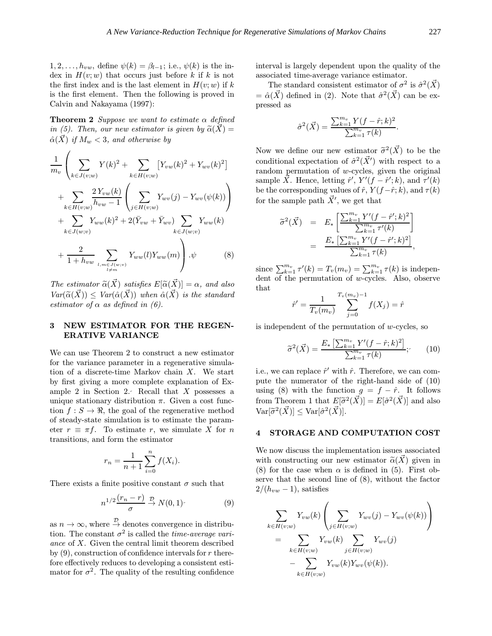$1, 2, \ldots, h_{vw}$ , define  $\psi(k) = \beta_{l-1}$ ; i.e.,  $\psi(k)$  is the index in  $H(v; w)$  that occurs just before k if k is not the first index and is the last element in  $H(v; w)$  if k is the first element. Then the following is proved in Calvin and Nakayama (1997):

**Theorem 2** Suppose we want to estimate  $\alpha$  defined in (5). Then, our new estimator is given by  $\tilde{\alpha}(X) =$  $\hat{\alpha}(\vec{X})$  if  $M_w < 3$ , and otherwise by

$$
\frac{1}{m_v} \left( \sum_{k \in J(v;w)} Y(k)^2 + \sum_{k \in H(v;w)} \left[ Y_{vw}(k)^2 + Y_{wv}(k)^2 \right] + \sum_{k \in H(v;w)} \frac{2 Y_{vw}(k)}{h_{vw} - 1} \left( \sum_{j \in H(v;w)} Y_{wv}(j) - Y_{wv}(\psi(k)) \right) + \sum_{k \in J(w;v)} Y_{ww}(k)^2 + 2(\bar{Y}_{vw} + \bar{Y}_{wv}) \sum_{k \in J(w;v)} Y_{ww}(k) + \frac{2}{1 + h_{vw}} \sum_{l, m \in J(w;v)} Y_{ww}(l) Y_{ww}(m) \right) . \psi \tag{8}
$$

The estimator  $\widetilde{\alpha}(\vec{X})$  satisfies  $E[\widetilde{\alpha}(\vec{X})] = \alpha$ , and also  $Var(\widetilde{\alpha}(\vec{X})) \leq Var(\widehat{\alpha}(\vec{X}))$  when  $\widehat{\alpha}(\vec{X})$  is the standard estimator of  $\alpha$  as defined in (6).

### 3 NEW ESTIMATOR FOR THE REGEN-ERATIVE VARIANCE

We can use Theorem 2 to construct a new estimator for the variance parameter in a regenerative simulation of a discrete-time Markov chain X. We start by first giving a more complete explanation of Example 2 in Section 2. Recall that  $X$  possesses a unique stationary distribution  $\pi$ . Given a cost function  $f: S \to \mathbb{R}$ , the goal of the regenerative method of steady-state simulation is to estimate the parameter  $r \equiv \pi f$ . To estimate r, we simulate X for n transitions, and form the estimator

$$
r_n = \frac{1}{n+1} \sum_{i=0}^{n} f(X_i).
$$

There exists a finite positive constant  $\sigma$  such that

$$
n^{1/2}\frac{(r_n-r)}{\sigma} \stackrel{\mathcal{D}}{\rightarrow} N(0,1)
$$
 (9)

as  $n \to \infty$ , where  $\stackrel{\mathcal{D}}{\to}$  denotes convergence in distribution. The constant  $\sigma^2$  is called the *time-average vari*ance of X. Given the central limit theorem described by  $(9)$ , construction of confidence intervals for r therefore effectively reduces to developing a consistent estimator for  $\sigma^2$ . The quality of the resulting confidence interval is largely dependent upon the quality of the associated time-average variance estimator.

The standard consistent estimator of  $\sigma^2$  is  $\hat{\sigma}^2(\vec{X})$  $= \hat{\alpha}(\vec{X})$  defined in (2). Note that  $\hat{\sigma}^2(\vec{X})$  can be expressed as

$$
\hat{\sigma}^2(\vec{X}) = \frac{\sum_{k=1}^{m_v} Y(f - \hat{r}; k)^2}{\sum_{k=1}^{m_v} \tau(k)}.
$$

Now we define our new estimator  $\tilde{\sigma}^2(\vec{X})$  to be the conditional expectation of  $\hat{\sigma}^2(\vec{X}')$  with respect to a random permutation of  $w$ -cycles, given the original sample  $\bar{X}$ . Hence, letting  $\hat{r}'$ ,  $Y'(f - \hat{r}'; k)$ , and  $\bar{\tau}'(k)$ be the corresponding values of  $\hat{r}$ ,  $Y(f-\hat{r};k)$ , and  $\tau(k)$ for the sample path  $\vec{X}'$ , we get that

$$
\widetilde{\sigma}^2(\vec{X}) = E_* \left[ \frac{\sum_{k=1}^{m_v} Y'(f - \hat{r}'; k)^2}{\sum_{k=1}^{m_v} \tau'(k)} \right] \n= \frac{E_* \left[ \sum_{k=1}^{m_v} Y'(f - \hat{r}'; k)^2 \right]}{\sum_{k=1}^{m_v} \tau(k)},
$$

since  $\sum_{k=1}^{m_v} \tau'(k) = T_v(m_v) = \sum_{k=1}^{m_v} \tau(k)$  is independent of the permutation of  $w$ -cycles. Also, observe that

$$
\hat{r}' = \frac{1}{T_v(m_v)} \sum_{j=0}^{T_v(m_v)-1} f(X_j) = \hat{r}
$$

is independent of the permutation of  $w$ -cycles, so

$$
\widetilde{\sigma}^{2}(\vec{X}) = \frac{E_{*} \left[ \sum_{k=1}^{m_{v}} Y'(f - \hat{r}; k)^{2} \right]}{\sum_{k=1}^{m_{v}} \tau(k)};
$$
\n(10)

i.e., we can replace  $\hat{r}'$  with  $\hat{r}$ . Therefore, we can compute the numerator of the right-hand side of (10) using (8) with the function  $g = f - \hat{r}$ . It follows from Theorem 1 that  $E[\tilde{\sigma}^2(\vec{X})] = E[\hat{\sigma}^2(\vec{X})]$  and also  $\text{Var}[\tilde{\sigma}^2(\vec{X})] \leq \text{Var}[\hat{\sigma}^2(\vec{X})].$ 

# 4 STORAGE AND COMPUTATION COST

We now discuss the implementation issues associated with constructing our new estimator  $\tilde{\alpha}(X)$  given in (8) for the case when  $\alpha$  is defined in (5). First observe that the second line of (8), without the factor  $2/(h_{vw} - 1)$ , satisfies

$$
\sum_{k \in H(v;w)} Y_{vw}(k) \left( \sum_{j \in H(v;w)} Y_{wv}(j) - Y_{wv}(\psi(k)) \right)
$$
  
= 
$$
\sum_{k \in H(v;w)} Y_{vw}(k) \sum_{j \in H(v;w)} Y_{wv}(j)
$$
  
- 
$$
\sum_{k \in H(v;w)} Y_{vw}(k) Y_{wv}(\psi(k)).
$$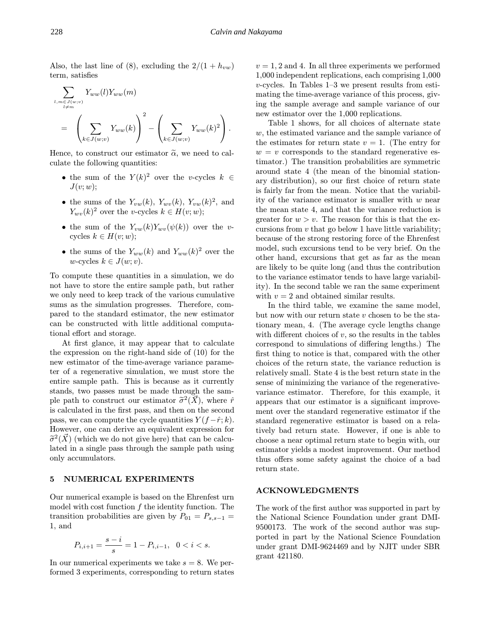Also, the last line of (8), excluding the  $2/(1 + h_{vw})$ term, satisfies

$$
\sum_{\substack{l,m \in J(w;v) \\ l \neq m}} Y_{ww}(l) Y_{ww}(m)
$$
\n
$$
= \left( \sum_{k \in J(w;v)} Y_{ww}(k) \right)^2 - \left( \sum_{k \in J(w;v)} Y_{ww}(k)^2 \right).
$$

Hence, to construct our estimator  $\tilde{\alpha}$ , we need to calculate the following quantities:

- the sum of the  $Y(k)^2$  over the v-cycles  $k \in$  $J(v; w)$ ;
- the sums of the  $Y_{vw}(k)$ ,  $Y_{wv}(k)$ ,  $Y_{vw}(k)^2$ , and  $Y_{wv}(k)^2$  over the v-cycles  $k \in H(v; w)$ ;
- the sum of the  $Y_{vw}(k)Y_{wv}(\psi(k))$  over the vcycles  $k \in H(v; w)$ ;
- the sums of the  $Y_{ww}(k)$  and  $Y_{ww}(k)^2$  over the w-cycles  $k \in J(w; v)$ .

To compute these quantities in a simulation, we do not have to store the entire sample path, but rather we only need to keep track of the various cumulative sums as the simulation progresses. Therefore, compared to the standard estimator, the new estimator can be constructed with little additional computational effort and storage.

At first glance, it may appear that to calculate the expression on the right-hand side of (10) for the new estimator of the time-average variance parameter of a regenerative simulation, we must store the entire sample path. This is because as it currently stands, two passes must be made through the sample path to construct our estimator  $\tilde{\sigma}^2(\vec{X})$ , where  $\hat{r}$ is calculated in the first pass, and then on the second pass, we can compute the cycle quantities  $Y(f - \hat{r}; k)$ . However, one can derive an equivalent expression for  $\tilde{\sigma}^2(X)$  (which we do not give here) that can be calculated in a single pass through the sample path using only accumulators.

### 5 NUMERICAL EXPERIMENTS

Our numerical example is based on the Ehrenfest urn model with cost function  $f$  the identity function. The transition probabilities are given by  $P_{01} = P_{s,s-1}$  = 1, and

$$
P_{i,i+1} = \frac{s-i}{s} = 1 - P_{i,i-1}, \ \ 0 < i < s.
$$

In our numerical experiments we take  $s = 8$ . We performed 3 experiments, corresponding to return states  $v = 1, 2$  and 4. In all three experiments we performed 1,000 independent replications, each comprising 1,000  $v$ -cycles. In Tables  $1-3$  we present results from estimating the time-average variance of this process, giving the sample average and sample variance of our new estimator over the 1,000 replications.

Table 1 shows, for all choices of alternate state w, the estimated variance and the sample variance of the estimates for return state  $v = 1$ . (The entry for  $w = v$  corresponds to the standard regenerative estimator.) The transition probabilities are symmetric around state 4 (the mean of the binomial stationary distribution), so our first choice of return state is fairly far from the mean. Notice that the variability of the variance estimator is smaller with  $w$  near the mean state 4, and that the variance reduction is greater for  $w > v$ . The reason for this is that the excursions from  $v$  that go below 1 have little variability; because of the strong restoring force of the Ehrenfest model, such excursions tend to be very brief. On the other hand, excursions that get as far as the mean are likely to be quite long (and thus the contribution to the variance estimator tends to have large variability). In the second table we ran the same experiment with  $v = 2$  and obtained similar results.

In the third table, we examine the same model, but now with our return state  $v$  chosen to be the stationary mean, 4. (The average cycle lengths change with different choices of  $v$ , so the results in the tables correspond to simulations of differing lengths.) The first thing to notice is that, compared with the other choices of the return state, the variance reduction is relatively small. State 4 is the best return state in the sense of minimizing the variance of the regenerativevariance estimator. Therefore, for this example, it appears that our estimator is a significant improvement over the standard regenerative estimator if the standard regenerative estimator is based on a relatively bad return state. However, if one is able to choose a near optimal return state to begin with, our estimator yields a modest improvement. Our method thus offers some safety against the choice of a bad return state.

### ACKNOWLEDGMENTS

The work of the first author was supported in part by the National Science Foundation under grant DMI-9500173. The work of the second author was supported in part by the National Science Foundation under grant DMI-9624469 and by NJIT under SBR grant 421180.